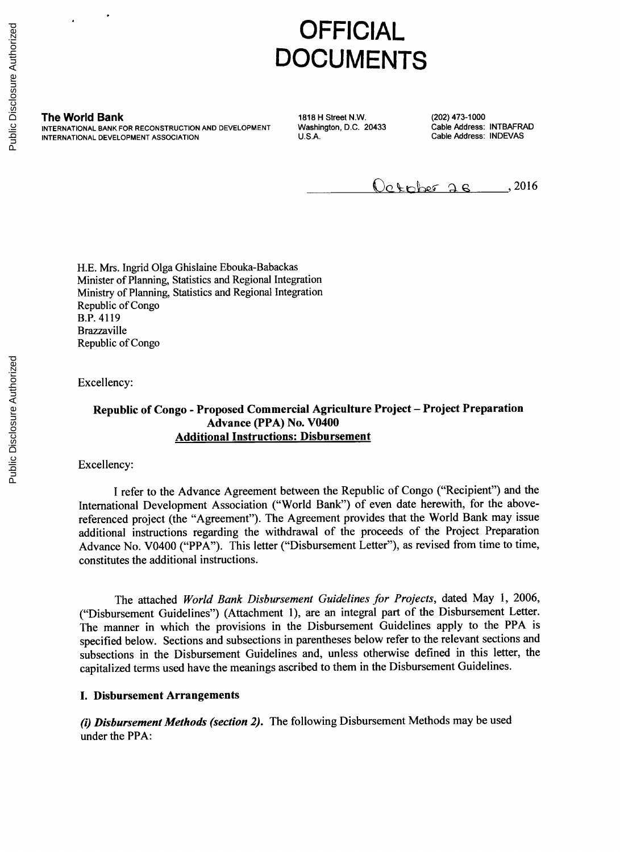# **OFFICIAL DOCUMENTS**

**The World Bank 1818 H Street N.W.** (202) 473-1000<br>INTERNATIONAL BANK FOR RECONSTRUCTION AND DEVELOPMENT Washington, D.C. 20433 Cable Address: INTBAFRAD INTERNATIONAL BANK FOR RECONSTRUCTION AND DEVELOPMENT **Washington, D.C. 20433** Cable Address: INTBAFRANITIONAL DEVELOPMENT ASSOCIATION **INTERNATIONAL DEVELOPMENT ASSOCIATION** 

 $Q_0$  to be  $26$  , 2016

**H.E.** Mrs. Ingrid Olga Ghislaine Ebouka-Babackas Minister of Planning, Statistics and Regional Integration Ministry of Planning, Statistics and Regional Integration Republic of Congo B.P. 4119 Brazzaville Republic of Congo

Excellency:

#### **Republic of Congo - Proposed Commercial Agriculture Project - Project Preparation Advance (PPA) No. V0400 Additional Instructions: Disbursement**

Excellency:

**I** refer to the Advance Agreement between the Republic of Congo ("Recipient") and the International Development Association ("World Bank") of even date herewith, for the abovereferenced project (the "Agreement"). The Agreement provides that the World Bank may issue additional instructions regarding the withdrawal of the proceeds of the Project Preparation Advance No. V0400 ("PPA"). This letter ("Disbursement Letter"), as revised from time to time, constitutes the additional instructions.

The attached *World Bank Disbursement Guidelines for Projects,* dated May **1, 2006,** ("Disbursement Guidelines") (Attachment **1),** are an integral part of the Disbursement Letter. The manner in which the provisions in the Disbursement Guidelines apply to the PPA is specified below. Sections and subsections in parentheses below refer to the relevant sections and subsections in the Disbursement Guidelines and, unless otherwise defined in this letter, the capitalized terms used have the meanings ascribed to them in the Disbursement Guidelines.

#### **I. Disbursement Arrangements**

*(i) Disbursement Methods (section 2).* **The following Disbursement Methods may be used under the PPA:**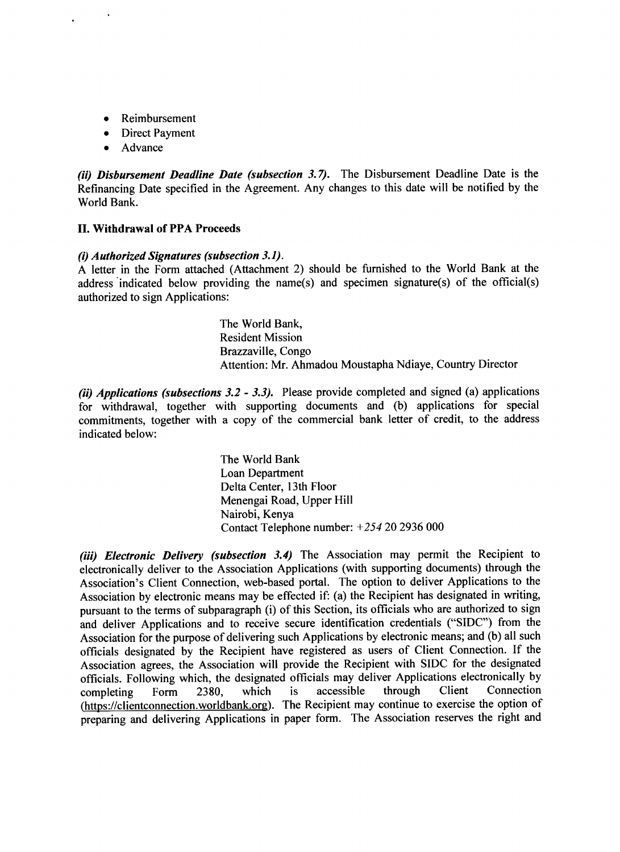- **Reimbursement**
- Direct Payment
- **Advance**

*(ii) Disbursement Deadline Date (subsection 3.7).* The Disbursement Deadline Date is the Refinancing Date specified in the Agreement. Any changes to this date will be notified **by** the World Bank.

#### **II. Withdrawal of PPA Proceeds**

#### *(i) Authorized Signatures (subsection 3.1).*

**<sup>A</sup>**letter in the Form attached (Attachment 2) should be furnished to the World Bank at the address 'indicated below providing the name(s) and specimen signature(s) of the official(s) authorized to sign Applications:

> The World Bank, Resident Mission Brazzaville, Congo Attention: Mr. Ahmadou Moustapha Ndiaye, Country Director

*(ii) Applications (subsections 3.2* **-** *3.3).* Please provide completed and signed (a) applications for withdrawal, together with supporting documents and **(b)** applications for special commitments, together with a copy of the commercial bank letter of credit, to the address indicated below:

> The World Bank Loan Department Delta Center, 13th Floor Menengai Road, Upper Hill Nairobi, Kenya Contact Telephone number: +254 20 **2936 000**

*(iii) Electronic Delivery (subsection 3.4)* The Association may permit the Recipient to electronically deliver to the Association Applications (with supporting documents) through the Association's Client Connection, web-based portal. The option to deliver Applications to the Association **by** electronic means may be effected if: (a) the Recipient has designated in writing, pursuant to the terms of subparagraph (i) of this Section, its officials who are authorized to sign and deliver Applications and to receive secure identification credentials **("SIDC")** from the Association for the purpose of delivering such Applications **by** electronic means; and **(b)** all such officials designated **by** the Recipient have registered as users of Client Connection. **If** the Association agrees, the Association will provide the Recipient with **SIDC** for the designated officials. Following which, the designated officials may deliver Applications electronically **by** completing Form **2380,** which is accessible through Client Connection (https://clientconnection.worldbank.org). The Recipient may continue to exercise the option of preparing and delivering Applications in paper form. The Association reserves the right and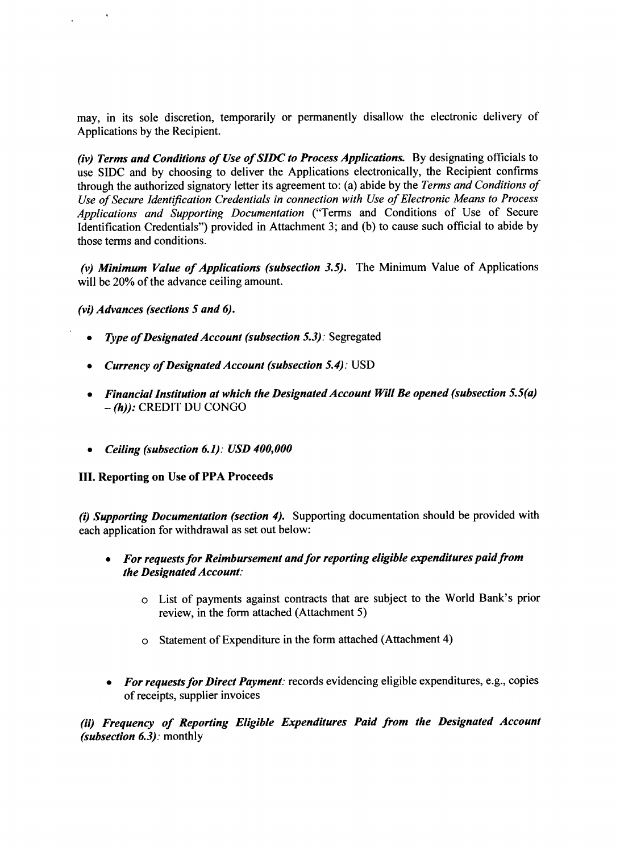may, in its sole discretion, temporarily or permanently disallow the electronic delivery of Applications **by** the Recipient.

*(iv) Terms and Conditions of Use of SIDC to Process Applications.* **By** designating officials to use **SIDC** and **by** choosing to deliver the Applications electronically, the Recipient confirms through the authorized signatory letter its agreement to: (a) abide **by** the *Terms and Conditions of Use of Secure Identification Credentials in connection with Use of Electronic Means to Process Applications and Supporting Documentation* ("Terms and Conditions of Use of Secure Identification Credentials") provided in Attachment **3;** and **(b)** to cause such official to abide **by** those terms and conditions.

*(v) Minimum Value of Applications (subsection 3.5).* The Minimum Value of Applications will be 20% of the advance ceiling amount.

*(vi) Advances (sections 5 and 6).*

 $\ddot{\phantom{a}}$ 

- *Type of Designated Account (subsection 5.3): Segregated*
- *Currency of Designated Account (subsection 5.4): USD*
- *\* Financial Institution at which the Designated Account Will Be opened (subsection 5.5(a)* **-** *(h)):* CREDIT **DU CONGO**
- *\* Ceiling (subsection 6.1): USD 400,000*

#### **III.** Reporting on Use of PPA Proceeds

*(i) Supporting Documentation (section 4).* Supporting documentation should be provided with each application for withdrawal as set out below:

- *\* For requests for Reimbursement and for reporting eligible expenditures paid from the Designated Account:*
	- o List of payments against contracts that are subject to the World Bank's prior review, in the form attached (Attachment *5)*
	- o Statement of Expenditure in the form attached (Attachment *4)*
- *\* For requests for Direct Payment:* records evidencing eligible expenditures, e.g., copies of receipts, supplier invoices

*(ii) Frequency of Reporting Eligible Expenditures Paid from the Designated Account (subsection 6.3):* monthly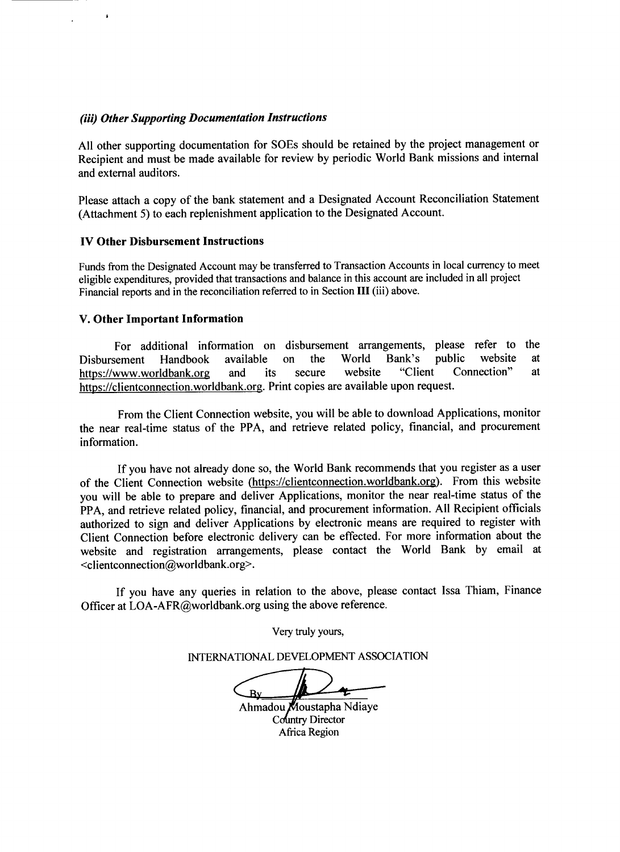#### *(iii) Other Supporting Documentation Instructions*

**All** other supporting documentation for SOEs should be retained **by** the project management or Recipient and must be made available for review **by** periodic World Bank missions and internal and external auditors.

Please attach a copy of the bank statement and a Designated Account Reconciliation Statement (Attachment **5)** to each replenishment application to the Designated Account.

#### IV Other Disbursement Instructions

 $\mathbf{I}$ 

Funds from the Designated Account may be transferred to Transaction Accounts in local currency to meet eligible expenditures, provided that transactions and balance in this account are included in all project Financial reports and in the reconciliation referred to in Section **III** (iii) above.

#### **V.** Other Important Information

For additional information on disbursement arrangements, please refer to the sement Handbook available on the World Bank's public website at Disbursement Handbook available on the World Bank's public website at https://www.worldbank.org and its secure website "Client Connection" at https://clientconnection.worldbank.org. Print copies are available upon request.

From the Client Connection website, you will be able to download Applications, monitor the near real-time status of the PPA, and retrieve related policy, financial, and procurement information.

**If** you have not already done so, the World Bank recommends that you register as a user of the Client Connection website (https://clientconnection.worldbank.org). From this website you will be able to prepare and deliver Applications, monitor the near real-time status of the PPA, and retrieve related policy, financial, and procurement information. **All** Recipient officials authorized to sign and deliver Applications **by** electronic means are required to register with Client Connection before electronic delivery can be effected. For more information about the website and registration arrangements, please contact the World Bank **by** email at <clientconnection@worldbank.org>.

**If** you have any queries in relation to the above, please contact Issa Thiam, Finance Officer at LOA-AFR@worldbank.org using the above reference.

Very truly yours,

**INTERNATIONAL DEVELOPMENT ASSOCIATION**

 $\overline{\mathbf{B}}$ 

Ahmadou Moustapha Ndiaye Country Director Afiica Region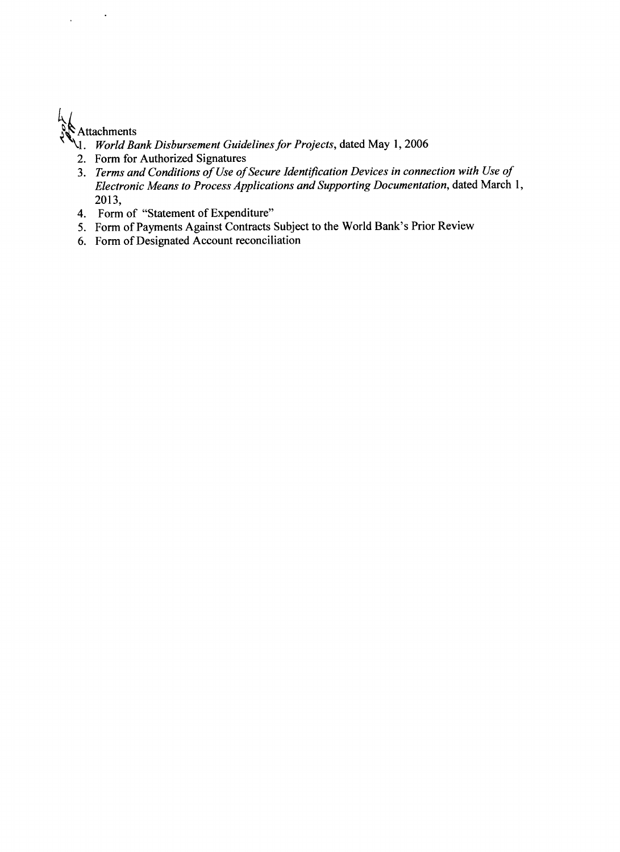# **Attachments**

 $\ddot{\phantom{1}}$ 

 $\ddot{\phantom{a}}$ 

- **'IL** *World Bank Disbursement Guidelines for Projects,* dated May **1, 2006**
- 2. Form for Authorized Signatures
- 3. *Terms and Conditions of Use of Secure Identification Devices in connection with Use of Electronic Means to Process Applications and Supporting Documentation,* dated March **1, 2013,**
- 4. Form of "Statement of Expenditure"
- *5.* Form of Payments Against Contracts Subject to the World Bank's Prior Review
- **6.** Form of Designated Account reconciliation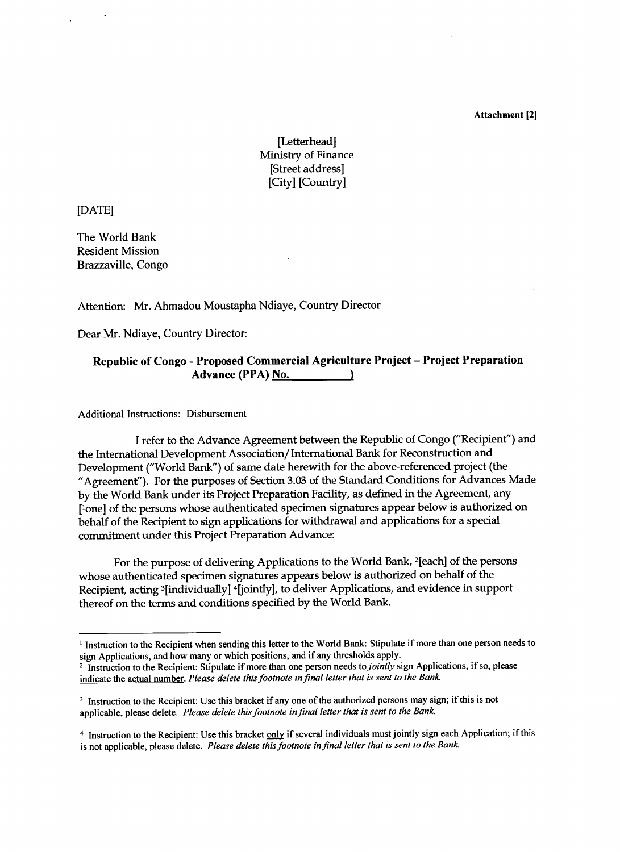Attachment 12]

## [Letterhead] Ministry of Finance [Street address] [City] [Country]

**[DATE]**

The World Bank Resident Mission Brazzaville, Congo

#### Attention: Mr. Ahmadou Moustapha Ndiaye, Country Director

Dear Mr. Ndiaye, Country Director:

#### **Republic of Congo - Proposed Commercial Agriculture Project - Project Preparation Advance (PPA)** No.

Additional Instructions: Disbursement

**I** refer to the Advance Agreement between the Republic of Congo ("Recipient") and the International Development Association/International Bank for Reconstruction and Development ("World Bank") of same date herewith for the above-referenced project (the "Agreement"). For the purposes of Section **3.03** of the Standard Conditions for Advances Made **by** the World Bank under its Project Preparation Facility, as defined in the Agreement, any ['one] of the persons whose authenticated specimen signatures appear below is authorized on behalf of the Recipient to sign applications for withdrawal and applications for a special commitment under this Project Preparation Advance:

For the purpose of delivering Applications to the World Bank, 2[each] of the persons whose authenticated specimen signatures appears below is authorized on behalf of the Recipient, acting 3[individually] 4[jointly], to deliver Applications, and evidence in support thereof on the terms and conditions specified **by** the World Bank.

<sup>&</sup>lt;sup>1</sup> Instruction to the Recipient when sending this letter to the World Bank: Stipulate if more than one person needs to sign Applications, and how many or which positions, and if any thresholds apply.

<sup>&</sup>lt;sup>2</sup> Instruction to the Recipient: Stipulate if more than one person needs to *jointly* sign Applications, if so, please indicate the actual number. *Please delete this footnote in final letter that is sent to the Bank*

<sup>&</sup>lt;sup>3</sup> Instruction to the Recipient: Use this bracket if any one of the authorized persons may sign; if this is not applicable, please delete. *Please delete this footnote in final letter that is sent to the Bank*

<sup>&</sup>lt;sup>4</sup> Instruction to the Recipient: Use this bracket only if several individuals must jointly sign each Application; if this is not applicable, please delete. *Please delete this footnote in final letter that is sent to the Bank*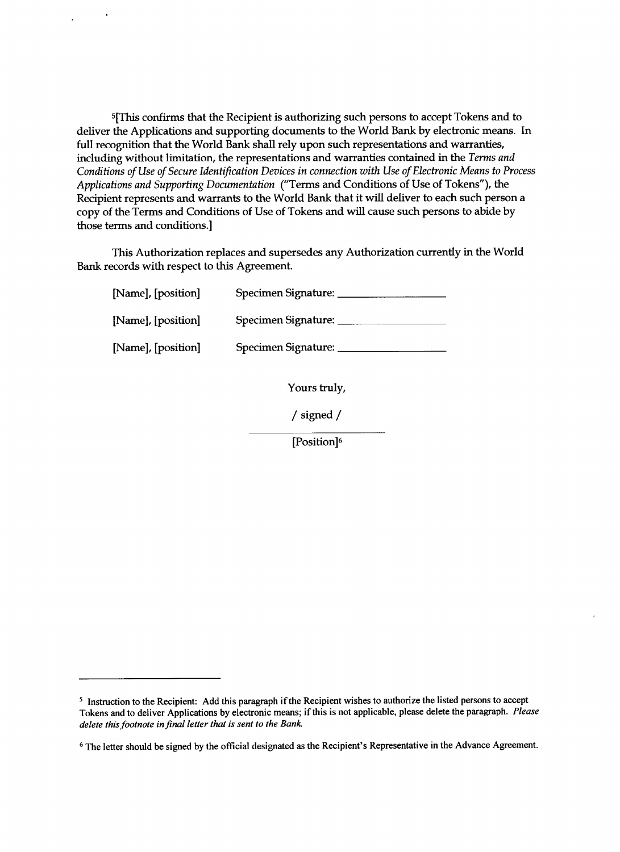**5[This** confirms that the Recipient is authorizing such persons to accept Tokens and to deliver the Applications and supporting documents to the World Bank **by** electronic means. In full recognition that the World Bank shall rely upon such representations and warranties, including without limitation, the representations and warranties contained in the *Terms and Conditions of Use of Secure Identification Devices in connection with Use of Electronic Means to Process Applications and Supporting Documentation* ("Terms and Conditions of Use of Tokens"), the Recipient represents and warrants to the World Bank that it will deliver to each such person a copy of the Terms and Conditions of Use of Tokens and will cause such persons to abide **by** those terms and conditions.]

This Authorization replaces and supersedes any Authorization currently in the World Bank records with respect to this Agreement.

| [Name], [position] | Specimen Signature: |
|--------------------|---------------------|
| [Name], [position] | Specimen Signature: |
| [Name], [position] | Specimen Signature: |

Yours truly,

**/** signed **/**

[Position]<sup>6</sup>

s Instruction to the Recipient: **Add** this paragraph if the Recipient wishes to authorize the listed persons to accept Tokens and to deliver Applications **by** electronic means; if this is not applicable, please delete the paragraph. *Please delete this footnote in final letter* that *is sent to the Bank*

**<sup>6</sup>** The letter should be signed **by** the official designated as the Recipient's Representative in the Advance Agreement.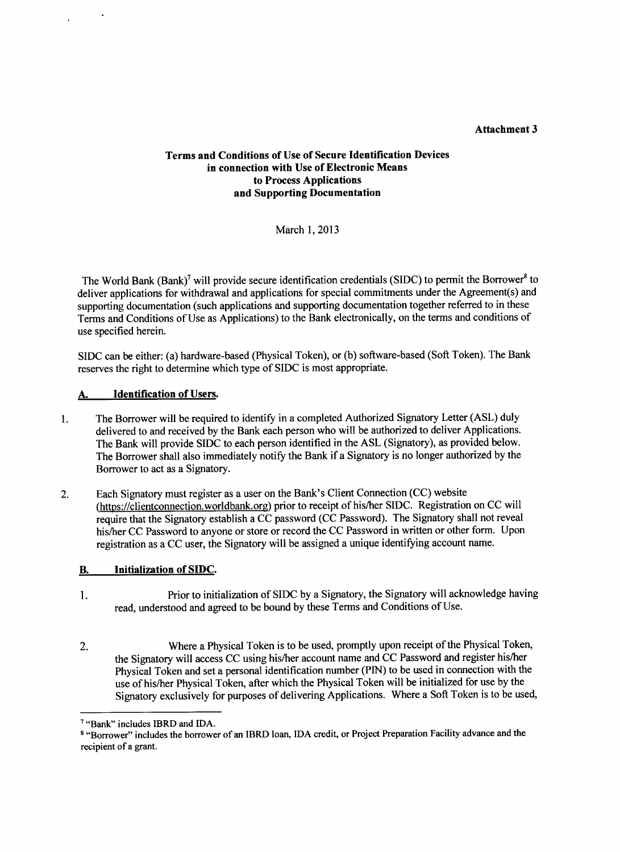#### **Attachment 3**

#### **Terms and Conditions of Use of Secure Identification Devices in connection with Use of Electronic Means to Process Applications and Supporting Documentation**

**March 1, 2013**

The World Bank (Bank)<sup>7</sup> will provide secure identification credentials (SIDC) to permit the Borrower<sup>8</sup> to deliver applications for withdrawal and applications for special commitments under the Agreement(s) and supporting documentation (such applications and supporting documentation together referred to in these Terms and Conditions of Use as Applications) to the Bank electronically, on the terms and conditions of use specified herein.

**SIDC** can be either: (a) hardware-based (Physical Token), or **(b)** software-based (Soft Token). The Bank reserves the right to determine which type of **SIDC** is most appropriate.

#### **A.** Identification of Users.

- **1.** The Borrower will be required to identify in a completed Authorized Signatory Letter **(ASL)** duly delivered to and received **by** the Bank each person who will be authorized to deliver Applications. The Bank will provide **SIDC** to each person identified in the **ASL** (Signatory), as provided below. The Borrower shall also immediately notify the Bank if a Signatory is no longer authorized **by** the Borrower to act as a Signatory.
- 2. Each Signatory must register as a user on the Bank's Client Connection **(CC)** website (https://clientconnection.worldbank.org) prior to receipt of his/her **SIDC.** Registration on **CC** will require that the Signatory establish a **CC** password **(CC** Password). The Signatory shall not reveal his/her **CC** Password to anyone or store or record the **CC** Password in written or other form. Upon registration as a **CC** user, the Signatory will be assigned a unique identifying account name.

#### B. Initialization of **SIDC.**

- 1. Prior to initialization of **SIDC by** a Signatory, the Signatory will acknowledge having read, understood and agreed to be bound **by** these Terms and Conditions of Use.
- 2. Where a Physical Token is to be used, promptly upon receipt of the Physical Token, the Signatory will access **CC** using his/her account name and **CC** Password and register his/her Physical Token and set a personal identification number **(PIN)** to be used in connection with the use of his/her Physical Token, after which the Physical Token will be initialized for use **by** the Signatory exclusively for purposes of delivering Applications. Where a Soft Token is to be used,

<sup>&</sup>lt;sup>7</sup> "Bank" includes IBRD and IDA.

**<sup>8</sup>** "Borrower" includes the borrower of an IBRD loan, **IDA** credit, or Project Preparation Facility advance and the recipient of a grant.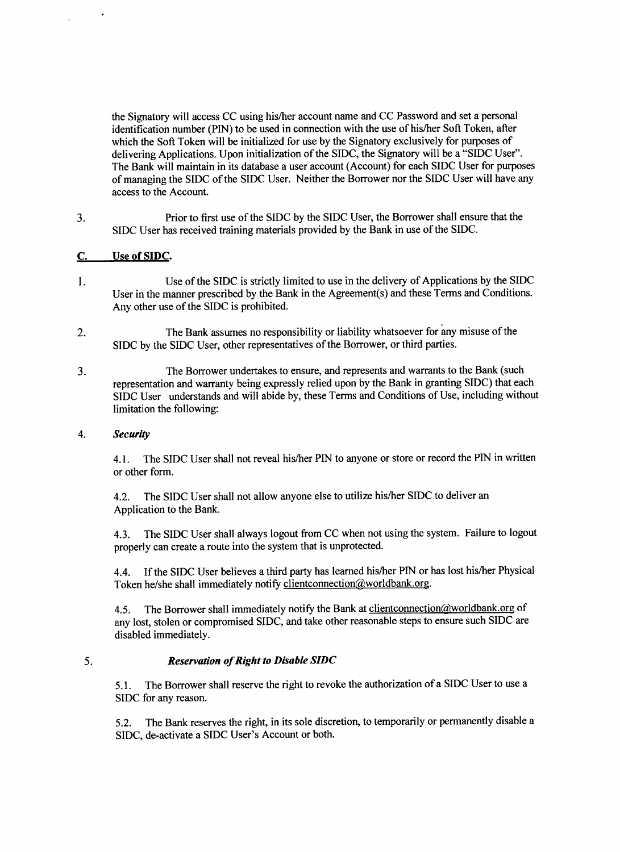the Signatory will access **CC** using his/her account name and **CC** Password and set a personal identification number **(PIN)** to be used in connection with the use of his/her Soft Token, after which the Soft Token will be initialized for use **by** the Signatory exclusively for purposes of delivering Applications. Upon initialization of the **SIDC,** the Signatory will be a **"SIDC** User". The Bank will maintain in its database a user account (Account) for each **SIDC** User for purposes of managing the **SIDC** of the **SIDC** User. Neither the Borrower nor the **SIDC** User will have any access to the Account.

**3.** Prior to first use of the **SIDC by** the **SIDC** User, the Borrower shall ensure that the **SIDC** User has received training materials provided **by** the Bank in use of the **SIDC.**

#### **C.** Use of **SIDC.**

 $\overline{a}$ 

- Use of the **SIDC** is strictly limited to use in the delivery of Applications **by** the **SIDC** 1. User in the manner prescribed **by** the Bank in the Agreement(s) and these Terms and Conditions. Any other use of the **SIDC** is prohibited.
- 2. The Bank assumes no responsibility or liability whatsoever for any misuse of the **SIDC by** the **SIDC** User, other representatives of the Borrower, or third parties.
- **3.** The Borrower undertakes to ensure, and represents and warrants to the Bank (such representation and warranty being expressly relied upon **by** the Bank in granting **SIDC)** that each **SIDC** User understands and will abide **by,** these Terms and Conditions of Use, including without limitation the following:

#### *4. Security*

4.1. The **SIDC** User shall not reveal his/her **PIN** to anyone or store or record the **PIN** in written or other form.

4.2. The **SIDC** User shall not allow anyone else to utilize his/her **SIDC** to deliver an Application to the Bank.

4.3. The **SIDC** User shall always logout from **CC** when not using the system. Failure to logout properly can create a route into the system that is unprotected.

4.4. **If** the **SIDC** User believes a third party has learned his/her **PIN** or has lost his/her Physical Token he/she shall immediately notify clientconnection@worldbank.org.

4.5. The Borrower shall immediately notify the Bank at clientconnection@worldbank.org of any lost, stolen or compromised **SIDC,** and take other reasonable steps to ensure such **SIDC** are disabled immediately.

#### *5. Reservation of Right to Disable SIDC*

*5.1.* The Borrower shall reserve the right to revoke the authorization of a **SIDC** User to use a **SIDC** for any reason.

**5.2.** The Bank reserves the right, in its sole discretion, to temporarily or permanently disable a **SIDC,** de-activate a **SIDC** User's Account or both.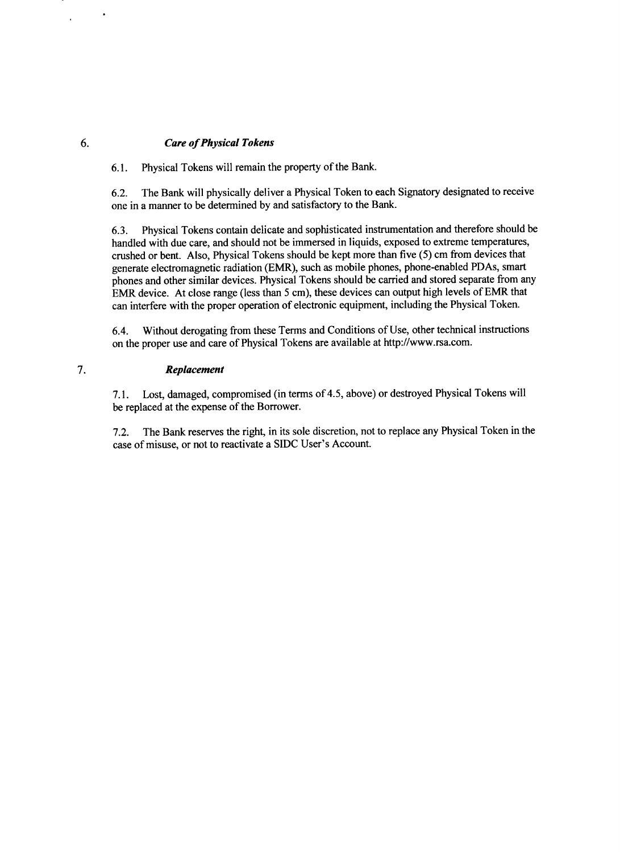#### *6. Care of Physical Tokens*

**6.1.** Physical Tokens will remain the property of the Bank.

**6.2.** The Bank will physically deliver a Physical Token to each Signatory designated to receive one in a manner to be determined **by** and satisfactory to the Bank.

**6.3.** Physical Tokens contain delicate and sophisticated instrumentation and therefore should be handled with due care, and should not be immersed in liquids, exposed to extreme temperatures, crushed or bent. Also, Physical Tokens should be kept more than five **(5)** cm from devices that generate electromagnetic radiation (EMR), such as mobile phones, phone-enabled PDAs, smart phones and other similar devices. Physical Tokens should be carried and stored separate from any **EMR** device. At close range (less than **5** cm), these devices can output high levels of **EMR** that can interfere with the proper operation of electronic equipment, including the Physical Token.

6.4. Without derogating from these Terms and Conditions of Use, other technical instructions on the proper use and care of Physical Tokens are available at http://www.rsa.com.

#### 7. *Replacement*

**7.1.** Lost, damaged, compromised (in terms of 4.5, above) or destroyed Physical Tokens will be replaced at the expense of the Borrower.

**7.2.** The Bank reserves the right, in its sole discretion, not to replace any Physical Token in the case of misuse, or not to reactivate a **SIDC** User's Account.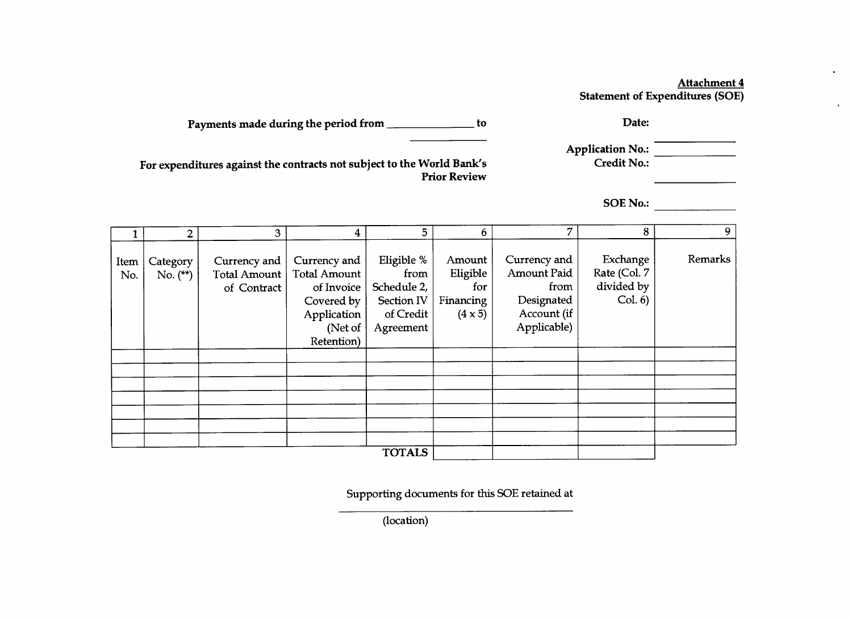#### Attachment 4 Statement of Expenditures **(SOE)**

 $\bullet$ 

 $\langle \cdot \rangle$ 

| Payments made during the period from |  | <b>Date:</b> |
|--------------------------------------|--|--------------|
|--------------------------------------|--|--------------|

| <b>Application No.:</b> |  |
|-------------------------|--|
| <b>Credit No.:</b>      |  |

For expenditures against the contracts not subject to the World Bank's Prior Review

**SOE** No.:

|               | $\overline{2}$         | 3                                           | $\overline{\mathbf{4}}$                                                                                 | 5                                                                         | 6                                                        | 7                                                                               | 8                                                 | 9       |
|---------------|------------------------|---------------------------------------------|---------------------------------------------------------------------------------------------------------|---------------------------------------------------------------------------|----------------------------------------------------------|---------------------------------------------------------------------------------|---------------------------------------------------|---------|
| Item<br>No.   | Category<br>No. $(**)$ | Currency and<br>Total Amount<br>of Contract | Currency and<br><b>Total Amount</b><br>of Invoice<br>Covered by<br>Application<br>(Net of<br>Retention) | Eligible %<br>from<br>Schedule 2,<br>Section IV<br>of Credit<br>Agreement | Amount<br>Eligible<br>for<br>Financing<br>$(4 \times 5)$ | Currency and<br>Amount Paid<br>from<br>Designated<br>Account (if<br>Applicable) | Exchange<br>Rate (Col. 7<br>divided by<br>Col. 6) | Remarks |
|               |                        |                                             |                                                                                                         |                                                                           |                                                          |                                                                                 |                                                   |         |
|               |                        |                                             |                                                                                                         |                                                                           |                                                          |                                                                                 |                                                   |         |
|               |                        |                                             |                                                                                                         |                                                                           |                                                          |                                                                                 |                                                   |         |
|               |                        |                                             |                                                                                                         |                                                                           |                                                          |                                                                                 |                                                   |         |
| <b>TOTALS</b> |                        |                                             |                                                                                                         |                                                                           |                                                          |                                                                                 |                                                   |         |

Supporting documents for this **SOE** retained at

(location)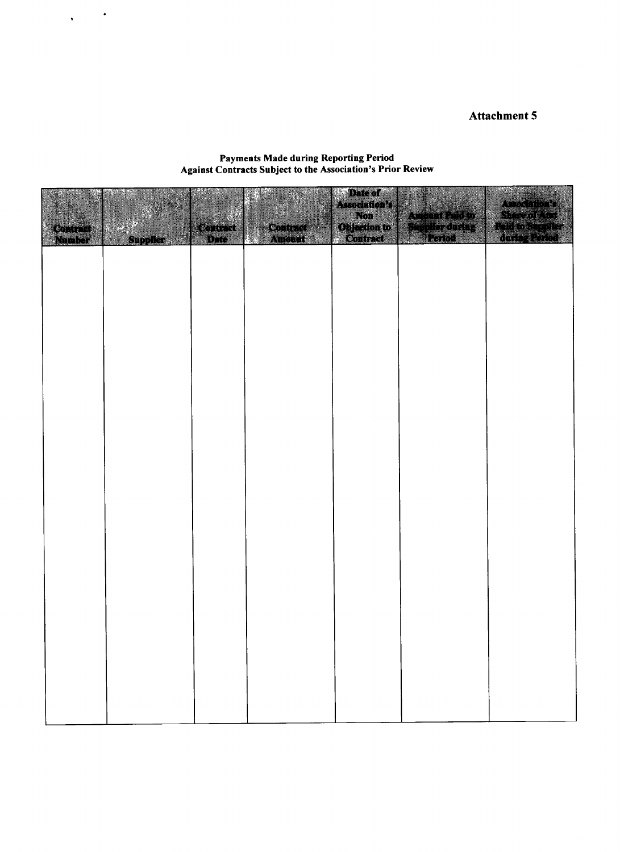# Attachment **5**

#### Payments Made during Reporting Period Against Contracts Subject to the Association's Prior Review

 $\sqrt{1-\frac{1}{2}}$ 

|                |                |       |                 | Date of<br>Association's<br>Non | <b>TAN AND AND A</b><br>Auccinial |
|----------------|----------------|-------|-----------------|---------------------------------|-----------------------------------|
| <b>Contrat</b> | Supplier as to | comet | <b>Contract</b> | Objection to                    |                                   |
|                |                |       |                 |                                 |                                   |
|                |                |       |                 |                                 |                                   |
|                |                |       |                 |                                 |                                   |
|                |                |       |                 |                                 |                                   |
|                |                |       |                 |                                 |                                   |
|                |                |       |                 |                                 |                                   |
|                |                |       |                 |                                 |                                   |
|                |                |       |                 |                                 |                                   |
|                |                |       |                 |                                 |                                   |
|                |                |       |                 |                                 |                                   |
|                |                |       |                 |                                 |                                   |